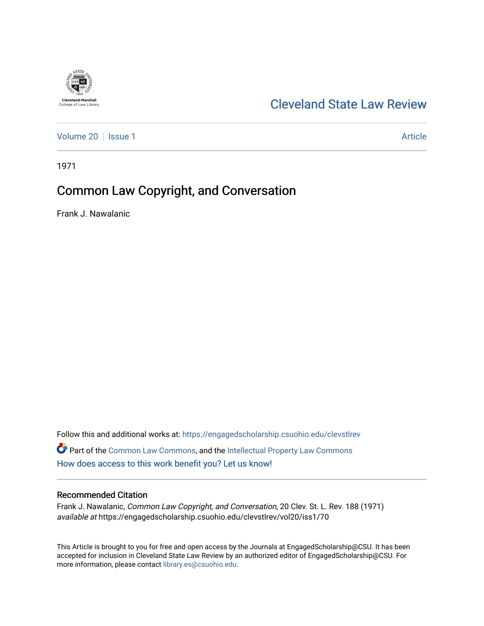

## [Cleveland State Law Review](https://engagedscholarship.csuohio.edu/clevstlrev)

[Volume 20](https://engagedscholarship.csuohio.edu/clevstlrev/vol20) | [Issue 1](https://engagedscholarship.csuohio.edu/clevstlrev/vol20/iss1) Article

1971

# Common Law Copyright, and Conversation

Frank J. Nawalanic

Follow this and additional works at: [https://engagedscholarship.csuohio.edu/clevstlrev](https://engagedscholarship.csuohio.edu/clevstlrev?utm_source=engagedscholarship.csuohio.edu%2Fclevstlrev%2Fvol20%2Fiss1%2F70&utm_medium=PDF&utm_campaign=PDFCoverPages) Part of the [Common Law Commons,](http://network.bepress.com/hgg/discipline/1120?utm_source=engagedscholarship.csuohio.edu%2Fclevstlrev%2Fvol20%2Fiss1%2F70&utm_medium=PDF&utm_campaign=PDFCoverPages) and the [Intellectual Property Law Commons](http://network.bepress.com/hgg/discipline/896?utm_source=engagedscholarship.csuohio.edu%2Fclevstlrev%2Fvol20%2Fiss1%2F70&utm_medium=PDF&utm_campaign=PDFCoverPages) [How does access to this work benefit you? Let us know!](http://library.csuohio.edu/engaged/)

### Recommended Citation

Frank J. Nawalanic, Common Law Copyright, and Conversation, 20 Clev. St. L. Rev. 188 (1971) available at https://engagedscholarship.csuohio.edu/clevstlrev/vol20/iss1/70

This Article is brought to you for free and open access by the Journals at EngagedScholarship@CSU. It has been accepted for inclusion in Cleveland State Law Review by an authorized editor of EngagedScholarship@CSU. For more information, please contact [library.es@csuohio.edu](mailto:library.es@csuohio.edu).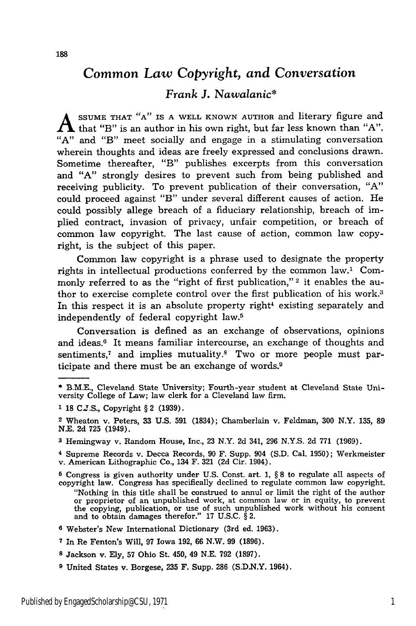## *Common Law* Copyright, *and Conversation*

## *Frank J. Nawalanic\**

**A SSUME THAT "A" IS A WELL** KNOWN **AUTHOR** and literary figure and  $\blacktriangle$  that "B" is an author in his own right, but far less known than "A". **"A"** and "B" meet socially and engage in a stimulating conversation wherein thoughts and ideas are freely expressed and conclusions drawn. Sometime thereafter, "B" publishes excerpts from this conversation and **"A"** strongly desires to prevent such from being published and receiving publicity. To prevent publication of their conversation, **"A"** could proceed against "B" under several different causes of action. He could possibly allege breach of a fiduciary relationship, breach of implied contract, invasion of privacy, unfair competition, or breach of common law copyright. The last cause of action, common law copyright, is the subject of this paper.

Common law copyright is a phrase used to designate the property rights in intellectual productions conferred by the common law.1 Commonly referred to as the "right of first publication,"<sup>2</sup> it enables the author to exercise complete control over the first publication of his work.3 In this respect it is an absolute property right<sup>4</sup> existing separately and independently of federal copyright law.5

Conversation is defined as an exchange of observations, opinions and ideas.<sup>6</sup> It means familiar intercourse, an exchange of thoughts and sentiments, $<sup>7</sup>$  and implies mutuality. $<sup>8</sup>$  Two or more people must par-</sup></sup> ticipate and there must be an exchange of words.9

**3** Hemingway v. Random House, Inc., **23** N.Y. **2d** 341, **296 N.Y.S. 2d 771 (1969).**

**4** Supreme Records v. Decca Records, **90** F. Supp. 904 **(S.D.** Cal. **1950);** Werkmeister v. American Lithographic Co., 134 F. **321 (2d** Cir. 1904).

**5** Congress is given authority under **U.S.** Const. art. **1,** § **8** to regulate all aspects of copyright law. Congress has specifically declined to regulate common law copyright. "Nothing in this title shall be construed to annul or limit the right of the author or proprietor of an unpublished work, at common law or in equity, to prevent the copying, publication, or use of such unpublished work without his consent and to obtain damages therefor." **17 U.S.C.** § 2.

- **6** Webster's New International Dictionary (3rd ed. **1963).**
- **7** In Re Fenton's Will, **97** Iowa **192, 66** N.W. **99 (1896).**
- **<sup>8</sup>**Jackson v. **Ely, 57** Ohio St. 450, 49 **N.E. 792 (1897).**
- **<sup>9</sup>**United States v. Borgese, **235** F. Supp. **286 (S.D.N.Y.** 1964).

**<sup>\*</sup>** B.M.E., Cleveland State University; Fourth-year student at Cleveland State University College of Law; law clerk for a Cleveland law firm.

**<sup>&#</sup>x27; 18 C.J.S.,** Copyright § 2 **(1939).**

<sup>2</sup> Wheaton v. Peters, **33 U.S. 591** (1834); Chamberlain v. Feldman, **300** N.Y. **135, 89 N.E. 2d 725** (1949).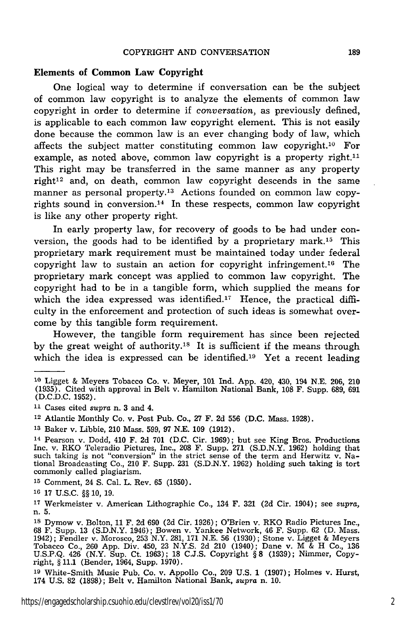#### **Elements of Common Law Copyright**

One logical way **to** determine if conversation can be the subject of common law copyright is to analyze the elements of common law copyright in order to determine if *conversation,* as previously defined, is applicable to each common law copyright element. This is not easily done because the common law is an ever changing body of law, which affects the subject matter constituting common law copyright.10 For example, as noted above, common law copyright is a property right.<sup>11</sup> This right may be transferred in the same manner as any property  $right<sup>12</sup>$  and, on death, common law copyright descends in the same manner as personal property.<sup>13</sup> Actions founded on common law copyrights sound in conversion.<sup>14</sup> In these respects, common law copyright is like any other property right.

In early property law, for recovery of goods to be had under conversion, the goods had to be identified by a proprietary mark.15 This proprietary mark requirement must be maintained today under federal copyright law to sustain an action for copyright infringement.<sup>16</sup> The proprietary mark concept was applied to common law copyright. The copyright had to be in a tangible form, which supplied the means for which the idea expressed was identified.<sup>17</sup> Hence, the practical difficulty in the enforcement and protection of such ideas is somewhat overcome by this tangible form requirement.

However, the tangible form requirement has since been rejected by the great weight of authority.<sup>18</sup> It is sufficient if the means through which the idea is expressed can be identified.<sup>19</sup> Yet a recent leading

**<sup>1</sup>o** Ligget & Meyers Tobacco Co. v. Meyer, 101 Ind. App. 420, 430, 194 N.E. 206, 210 (1935). Cited with approval in Belt v. Hamilton National Bank, 108 F. Supp. 689, 691 (D.C.D.C. 1952).

**<sup>11</sup>**Cases cited supra n. 3 and 4.

<sup>12</sup> Atlantic Monthly Co. v. Post Pub. Co., 27 F. 2d 556 (D.C. Mass. 1928).

**<sup>13</sup>**Baker v. Libbie, 210 Mass. 599, 97 N.E. 109 (1912).

<sup>14</sup> Pearson v. Dodd, 410 F. 2d 701 (D.C. Cir. 1969); but see King Bros. Productions Inc. v. RKO Teleradio Pictures, Inc., 208 F. Supp. 271 (S.D.N.Y. 1962) holding that such taking is not "conversion" in the strict sense of the term and Herwitz v. Na-tional Broadcasting Co., 210 F. Supp. 231 (S.D.N.Y. 1962) holding such taking is tort commonly called plagiarism.

**<sup>15</sup>**Comment, 24 S. Cal. L. Rev. **65** (1950).

**<sup>16</sup>** 17 U.S.C. **§§** 10, 19.

**<sup>17</sup>**Werkmeister v. American Lithographic Co., 134 F. 321 **(2d** Cir. 1904); see *supra,* n. 5.

**<sup>18</sup>**Dymow v. Bolton, 11 F. 2d 690 (2d Cir. 1926); O'Brien v. RKO Radio Pictures Inc., 68 F. Supp. 13 (S.D.N.Y. 1946); Bowen v. Yankee Network, 46 F. Supp. 62 (D. Mass. 1942); Fendler v. Morosco, 253 N.Y. 281, 171 N.E. 56 (1930); Stone v. Ligget & Meyers Tobacco Co., 260 App. Div. 450, 23 N.Y.S. 2d 210 (1940); Dane v. M & H Co., 136 U.S.P.Q. 426 (N.Y. Sup. Ct. 1963); 18 C.J.S. Copyright **§** 8 (1939); Nimmer, Copyright, **§** 11.1 (Bender, 1964, Supp. 1970).

**<sup>19</sup>**White-Smith Music Pub. Co. v. Appollo Co., 209 U.S. 1 (1907); Holmes v. Hurst, 174 U.S. 82 (1898); Belt v. Hamilton National Bank, *supra* n. 10.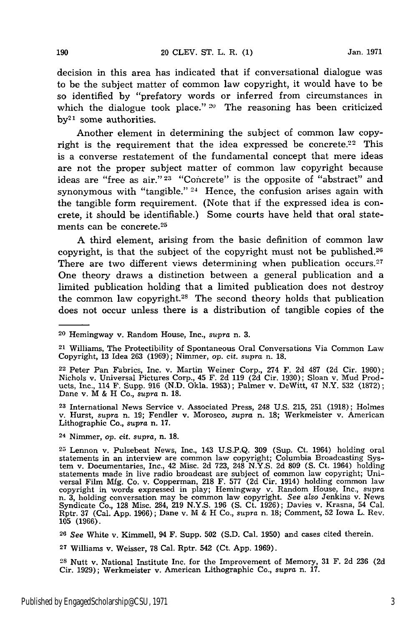decision in this area has indicated that if conversational dialogue was to be the subject matter of common law copyright, it would have to be so identified by "prefatory words or inferred from circumstances in which the dialogue took place." **20** The reasoning has been criticized  $by<sup>21</sup>$  some authorities.

Another element in determining the subject of common law copyright is the requirement that the idea expressed be concrete.<sup>22</sup> This is a converse restatement of the fundamental concept that mere ideas are not the proper subject matter of common law copyright because ideas are "free as air." 23 "Concrete" is the opposite of "abstract" and synonymous with "tangible."  $24$  Hence, the confusion arises again with the tangible form requirement. (Note that if the expressed idea is concrete, it should be identifiable.) Some courts have held that oral statements can be concrete.<sup>25</sup>

A third element, arising from the basic definition of common law copyright, is that the subject of the copyright must not be published.<sup>26</sup> There are two different views determining when publication occurs. $27$ One theory draws a distinction between a general publication and a limited publication holding that a limited publication does not destroy the common law copyright.<sup>28</sup> The second theory holds that publication does not occur unless there is a distribution of tangible copies of the

**<sup>23</sup>**International News Service v. Associated Press, 248 U.S. 215, 251 (1918); Holmes v. Hurst, *supra* n. 19; Fendler v. Morosco, *supra* n. 18; Werkmeister v. American Lithographic Co., *supra* n. 17.

24 Nimmer, op. cit. *supra,* n. 18.

**27** Williams v. Weisser, 78 Cal. Rptr. 542 (Ct. App. 1969).

**<sup>28</sup>**Nutt v. National Institute Inc. for the Improvement of Memory, 31 F. 2d 236 (2d Cir. **1929);** Werkmeister v. American Lithographic Co., supra n. 17.

<sup>20</sup> Hemingway v. Random House, Inc., *supra* n. 3.

<sup>21</sup> Williams, The Protectibility of Spontaneous Oral Conversations Via Common Law Copyright, 13 Idea 263 (1969); Nimmer, op. *cit. supra* n. 18.

<sup>22</sup> Peter Pan Fabrics, Inc. v. Martin Weiner Corp., 274 F. 2d 487 (2d Cir. 1960); Nichols v. Universal Pictures Corp., 45 F. 2d 119 (2d Cir. 1930); Sloan v. Mud Products, Inc., 114 F. Supp. 916 (N.D. Okla. 1953); Palmer v. DeWitt, 47 N.Y. 532 (1872); Dane v. M & H Co., *supra* n. 18.

**<sup>25</sup>** Lennon v. Pulsebeat News, Inc., 143 U.S.P.Q. 309 (Sup. Ct. 1964) holding oral statements in an interview are common law copyright; Columbia Broadcasting System v. Documentaries, Inc., 42 Misc. 2d 723, 248 N.Y.S. 2d 809 **(S.** Ct. 1964) holding statements made in live radio broadcast are subject of common law copyright; Universal Film Mfg. Co. v. Copperman, 218 F. 577 (2d Cir. 1914) holding common law copyright in words expressed in play; Hemingway v. Random Hous n. 3, holding conversation may be common law copyright. *See also* Jenkins v. News Syndicate Co., 128 Misc. 284, 219 N.Y.S. 196 **(S.** Ct. 1926); Davies v. Krasna, 54 Cal. Rptr. 37 (Cal. App. 1966); Dane v. M & H Co., *supra* n. 18; Comment, 52 Iowa L. Rev. 105 (1966).

**<sup>26</sup>**See White v. Kimmell, 94 F. Supp. 502 (S.D. Cal. 1950) and cases cited therein.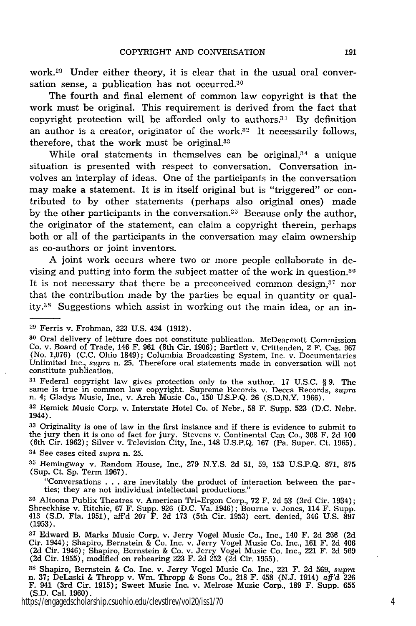work.<sup>29</sup> Under either theory, it is clear that in the usual oral conversation sense, a publication has not occurred.<sup>30</sup>

The fourth and final element of common law copyright is that the work must be original. This requirement is derived from the fact that copyright protection will be afforded only to authors.<sup>31</sup> By definition an author is a creator, originator of the work.<sup>32</sup> It necessarily follows, therefore, that the work must be original.33

While oral statements in themselves can be original,<sup>34</sup> a unique situation is presented with respect to conversation. Conversation involves an interplay of ideas. One of the participants in the conversation may make a statement. It is in itself original but is "triggered" or contributed to by other statements (perhaps also original ones) made by the other participants in the conversation. $35$  Because only the author, the originator of the statement, can claim a copyright therein, perhaps both or all of the participants in the conversation may claim ownership as co-authors or joint inventors.

A joint work occurs where two or more people collaborate in devising and putting into form the subject matter of the work in question. <sup>36</sup> It is not necessary that there be a preconceived common design, $37$  nor that the contribution made by the parties be equal in quantity or quality.<sup>38</sup> Suggestions which assist in working out the main idea, or an in-

<sup>31</sup> Federal copyright law gives protection only to the author. 17 U.S.C. § 9. The same is true in common law copyright. Supreme Records v. Decca Records, *supra* n. 4; Gladys Music, Inc., v. Arch Music Co., 150 U.S.P.Q.

**<sup>33</sup>**Originality is one of law in the first instance and if there is evidence to submit to the jury then it is one of fact for jury. Stevens v. Continental Can Co., 308 F. 2d 100 (6th Cir. 1962); Silver v. Television City, Inc., 148 U.S.P.Q. 167 (Pa. Super. Ct. 1965).

**<sup>34</sup>**See cases cited *supra* n. 25.

**<sup>35</sup>**Hemingway v. Random House, Inc., 279 N.Y.S. 2d 51, 59, 153 U.S.P.Q. 871, 875 (Sup. Ct. Sp. Term 1967).

"Conversations . **.** . are inevitably the product of interaction between the parties; they are not individual intellectual productions."

**<sup>36</sup>**Altoona Publix Theatres v. American Tri-Ergon Corp., 72 F. 2d 53 (3rd Cir. 1934); Shreckhise v. Ritchie, 67 F. Supp. 926 (D.C. Va. 1946); Bourne v. Jones, 114 F. Supp. 413 (S.D. Fla. 1951), aff'd 207 F. 2d 173 (5th Cir. 1953) cert. denied, 346 U.S. 897 (1953).

https://engagedscholarship.csuohio.edu/clevstlrev/vol20/iss1/70 4

**<sup>29</sup>**Ferris v. Frohman, 223 **U.S.** 424 **(1912).**

**<sup>30</sup>**Oral delivery of letture does not constitute publication. McDearmott Commission Co. v. Board of Trade, 146 F. 961 (8th Cir. 1906); Bartlett v. Crittenden, 2 F. Cas. 967 (No. 1,076) (C.C. Ohio 1849); Columbia Broadcasting System, Inc. v. Documentaries Unlimited Inc., *supra* n. 25. Therefore oral statements made in conversation will not constitute publication.

**<sup>32</sup>**Remick Music Corp. v. Interstate Hotel Co. of Nebr., 58 F. Supp. 523 (D.C. Nebr. 1944).

<sup>&</sup>lt;sup>37</sup> Edward B. Marks Music Corp. v. Jerry Vogel Music Co., Inc., 140 F. 2d 266 (2d Cir. 1944); Shapiro, Bernstein & Co. Inc. v. Jerry Vogel Music Co. Inc., 161 F. 2d 406 (2d Cir. 1946); Shapiro, Bernstein & Co. v. Jerry Vogel Music Co. Inc., 221 F. 2d 569 (2d Cir. 1955), modified on rehearing 223 F. 2d 252 (2d Cir. 1955).

**<sup>3</sup>s** Shapiro, Bernstein & Co. Inc. v. Jerry Vogel Music Co. Inc., 221 F. 2d 569, supra n. 37; DeLaski & Thropp v. Wm. Thropp & Sons Co., 218 F. 458 (N.J. 1914) *aff'd* <sup>226</sup> F. 941 (3rd Cir. 1915); Sweet Music Inc. v. Melrose Music Corp., 189 F. Supp. 655 (S.D. Cal. 1960).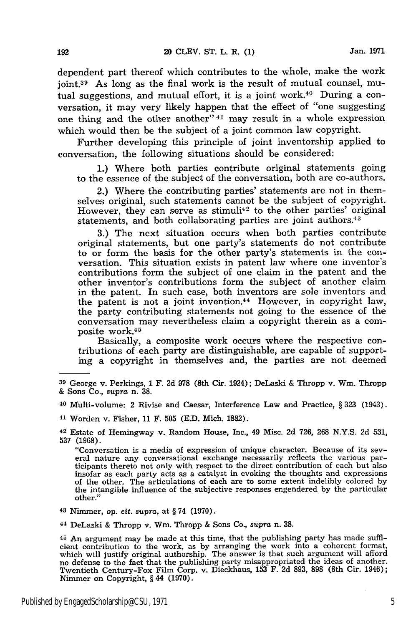dependent part thereof which contributes to the whole, make the work joint.39 As long as the final work is the result of mutual counsel, mutual suggestions, and mutual effort, it is a joint work. $40$  During a conversation, it may very likely happen that the effect of "one suggesting one thing and the other another"  $41$  may result in a whole expression which would then be the subject of a joint common law copyright.

Further developing this principle of joint inventorship applied to conversation, the following situations should be considered:

1.) Where both parties contribute original statements going to the essence of the subject of the conversation, both are co-authors.

2.) Where the contributing parties' statements are not in themselves original, such statements cannot be the subject of copyright. However, they can serve as stimuli<sup>42</sup> to the other parties' original statements, and both collaborating parties are joint authors.<sup>43</sup>

3.) The next situation occurs when both parties contribute original statements, but one party's statements do not contribute to or form the basis for the other party's statements in the conversation. This situation exists in patent law where one inventor's contributions form the subject of one claim in the patent and the other inventor's contributions form the subject of another claim in the patent. In such case, both inventors are sole inventors and the patent is not a joint invention.44 However, in copyright law, the party contributing statements not going to the essence of the conversation may nevertheless claim a copyright therein as a composite work.45

Basically, a composite work occurs where the respective contributions of each party are distinguishable, are capable of supporting a copyright in themselves and, the parties are not deemed

"Conversation is a media of expression of unique character. Because of its sev- eral nature any conversational exchange necessarily reflects the various participants thereto not only with respect to the direct contribution of each but also insofar as each party acts as a catalyst in evoking the thoughts and expressions of the other. The articulations of each are to some extent indelibly colored by the intangible influence of the subjective responses engendered by the particular other."

**<sup>43</sup>**Nimmer, op. cit. *supra,* at § 74 **(1970).**

**<sup>44</sup>**DeLaski & Thropp v. Wm. Thropp & Sons Co., *supra* n. 38.

**45** An argument may be made at this time, that the publishing party has made sufficient contribution to the work, as by arranging the work into a coherent format which will justify original authorship. The answer is that such argument will afford no defense to the fact that the publishing party misappropriated the ideas of another. Twentieth Century-Fox Film Corp. v. Dieckhaus, 153 F. 2d 893, 898 (8th Cir. 1946); Nimmer on Copyright, § 44 **(1970).**

**<sup>39</sup>**George v. Perkings, **1** F. 2d 978 (8th Cir. 1924); DeLaski & Thropp v. Wm. Thropp & Sons Co., *supra* n. 38.

**<sup>40</sup>**Multi-volume: 2 Rivise and Caesar, Interference Law and Practice, § 323 (1943).

<sup>41</sup>Worden v. Fisher, 11 F. 505 (E.D. Mich. 1882).

<sup>42</sup> Estate of Hemingway v. Random House, Inc., 49 Misc. 2d 726, **268** N.Y.S. 2d 531, 537 (1968).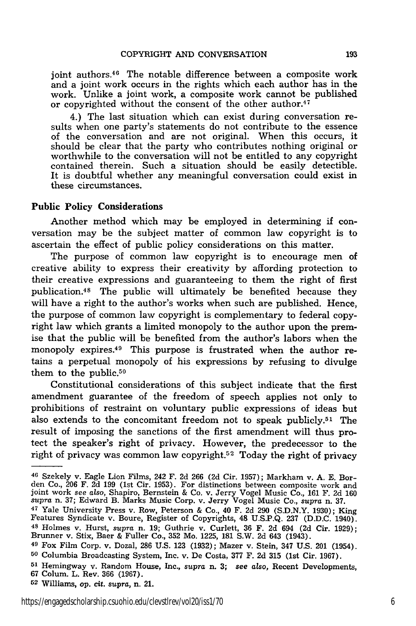joint authors.<sup>46</sup> The notable difference between a composite work and a joint work occurs in the rights which each author has in the work. Unlike a joint work, a composite work cannot be published or copyrighted without the consent of the other author.<sup>47</sup>

4.) The last situation which can exist during conversation results when one party's statements do not contribute to the essence of the conversation and are not original. When this occurs, it should be clear that the party who contributes nothing original or worthwhile to the conversation will not be entitled to any copyright contained therein. Such a situation should be easily detectible. It is doubtful whether any meaningful conversation could exist in these circumstances.

#### Public Policy Considerations

Another method which may be employed in determining **if** conversation may be the subject matter of common law copyright is to ascertain the effect of public policy considerations on this matter.

The purpose of common law copyright is to encourage men of creative ability to express their creativity by affording protection to their creative expressions and guaranteeing to them the right of first publication.48 The public will ultimately be benefited because they will have a right to the author's works when such are published. Hence, the purpose of common law copyright is complementary to federal copyright law which grants a limited monopoly to the author upon the premise that the public will be benefited from the author's labors when the monopoly expires.49 This purpose is frustrated when the author retains a perpetual monopoly of his expressions by refusing to divulge them to the public.<sup>50</sup>

Constitutional considerations of this subject indicate that the first amendment guarantee of the freedom of speech applies not only to prohibitions of restraint on voluntary public expressions of ideas but also extends to the concomitant freedom not to speak publicly.51 The result of imposing the sanctions of the first amendment will thus protect the speaker's right of privacy. However, the predecessor to the right of privacy was common law copyright.<sup>52</sup> Today the right of privacy

<sup>46</sup> Szekely v. Eagle Lion Films, 242 F. 2d 266 (2d Cir. 1957); Markham v. A. E. Borden Co., 206 F. 2d 199 (1st Cir. 1953). For distinctions between composite work and joint work *see* also, Shapiro, Bernstein & Co. v. Jerry Vogel Music Co., 161 F. 2d 160 *supra* n. 37; Edward B. Marks Music Corp. v. Jerry Vogel Music Co., *supra* n. 37.

<sup>47</sup> Yale University Press v. Row, Peterson & Co., 40 F. 2d 290 (S.D.N.Y. 1930); King Features Syndicate v. Boure, Register of Copyrights, 48 U.S.P.Q. **237** (D.D.C. 1940). **<sup>48</sup>**Holmes v. Hurst, *supra* n. 19; Guthrie v. Curlett, 36 F. 2d 694 (2d Cir. 1929); Brunner v. Stix, Baer & Fuller Co., **352** Mo. 1225, **181** S.W. 2d 643 (1943).

**<sup>49</sup>**Fox Film Corp. v. Dozal, **286** U.S. 123 (1932); Mazer v. Stein, 347 U.S. 201 (1954). **<sup>50</sup>**Columbia Broadcasting System, Inc. v. De Costa, 377 F. 2d **315** (1st Cir. 1967).

**<sup>51</sup>**Hemingway v. Random House, Inc., *supra* n. **3;** *see also,* Recent Developments, 67 Colum. L. Rev. **366** (1967).

**<sup>52</sup>**Williams, op. cit. *supra,* n. 21.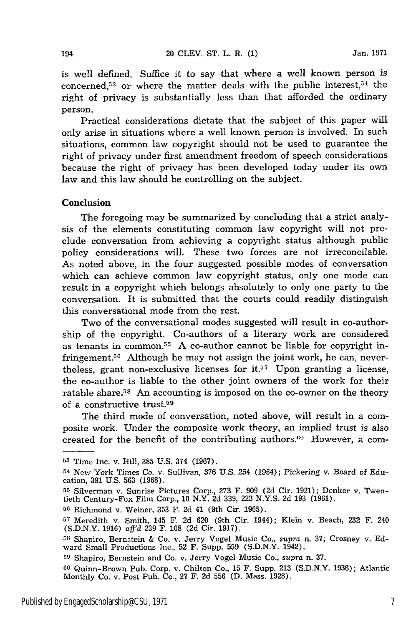is well defined. Suffice it to say that where a well known person is concerned,53 or where the matter deals with the public interest,51 the right of privacy is substantially less than that afforded the ordinary person.

Practical considerations dictate that the subject of this paper will only arise in situations where a well known person is involved. In such situations, common law copyright should not be used to guarantee the right of privacy under first amendment freedom of speech considerations because the right of privacy has been developed today under its own law and this law should be controlling on the subject.

### **Conclusion**

The foregoing may be summarized by concluding that a strict analysis of the elements constituting common law copyright will not preclude conversation from achieving a copyright status although public policy considerations will. These two forces are not irreconcilable. As noted above, in the four suggested possible modes of conversation which can achieve common law copyright status, only one mode can result in a copyright which belongs absolutely to only one party to the conversation. It is submitted that the courts could readily distinguish this conversational mode from the rest.

Two of the conversational modes suggested will result in co-authorship of the copyright. Co-authors of a literary work are considered as tenants in common.<sup>55</sup> A co-author cannot be liable for copyright infringement.<sup>56</sup> Although he may not assign the joint work, he can, nevertheless, grant non-exclusive licenses for  $i$ t.<sup>57</sup> Upon granting a license, the co-author is liable to the other joint owners of the work for their ratable share.<sup>58</sup> An accounting is imposed on the co-owner on the theory of a constructive trust.59

The third mode of conversation, noted above, will result in a composite work. Under the composite work theory, an implied trust is also created for the benefit of the contributing authors.<sup>60</sup> However, a com-

<sup>53</sup> Time Inc. v. Hill, 385 U.S. 374 (1967).

<sup>54</sup> New York Times **Co.** v. Sullivan, 376 U.S. 254 (1964); Pickering v. Board of Education, 391 U.S. 563 (1968).

<sup>55</sup> Silverman v. Sunrise Pictures Corp., 273 F. 909 (2d Cir. 1921); Denker v. Twentieth Century-Fox Film Corp., 10 N.Y. 2d 339, 223 N.Y.S. 2d 193 (1961).

**<sup>56</sup>**Richmond v. Weiner, 353 F. 2d 41 (9th Cir. 1965).

**<sup>57</sup>**Meredith v. Smith, 145 F. 2d 620 (9th Cir. 1944); Klein v. Beach, 232 F. 240 (S.D.N.Y. 1916) aff'd 239 F. 108 (2d Cir. 1917).

**<sup>58</sup>** Shapiro, Bernstein & Co. v. Jerry Vogel Music Co., *supra* n. 37; Crosney v. Edward Small Productions Inc., 52 F. Supp. 559 (S.D.N.Y. 1942)

**<sup>59</sup>**Shapiro, Bernstein and Co. v. Jerry Vogel Music Co., *supra* n. 37.

**<sup>60</sup>**Quinn-Brown Pub. Corp. v. Chilton Co., 15 F. Supp. 213 (S.D.N.Y. 1936); Atlantic Monthly Co. v. Post Pub. Co., 27 F. 2d 556 (D. Mass. 1928).